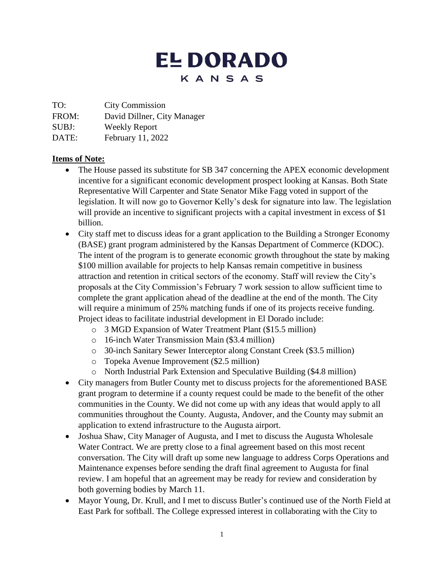# **EL DORADO** KANSAS

TO: City Commission

FROM: David Dillner, City Manager

SUBJ: Weekly Report

DATE: February 11, 2022

## **Items of Note:**

- The House passed its substitute for SB 347 concerning the APEX economic development incentive for a significant economic development prospect looking at Kansas. Both State Representative Will Carpenter and State Senator Mike Fagg voted in support of the legislation. It will now go to Governor Kelly's desk for signature into law. The legislation will provide an incentive to significant projects with a capital investment in excess of \$1 billion.
- City staff met to discuss ideas for a grant application to the Building a Stronger Economy (BASE) grant program administered by the Kansas Department of Commerce (KDOC). The intent of the program is to generate economic growth throughout the state by making \$100 million available for projects to help Kansas remain competitive in business attraction and retention in critical sectors of the economy. Staff will review the City's proposals at the City Commission's February 7 work session to allow sufficient time to complete the grant application ahead of the deadline at the end of the month. The City will require a minimum of 25% matching funds if one of its projects receive funding. Project ideas to facilitate industrial development in El Dorado include:
	- o 3 MGD Expansion of Water Treatment Plant (\$15.5 million)
	- o 16-inch Water Transmission Main (\$3.4 million)
	- o 30-inch Sanitary Sewer Interceptor along Constant Creek (\$3.5 million)
	- o Topeka Avenue Improvement (\$2.5 million)
	- o North Industrial Park Extension and Speculative Building (\$4.8 million)
- City managers from Butler County met to discuss projects for the aforementioned BASE grant program to determine if a county request could be made to the benefit of the other communities in the County. We did not come up with any ideas that would apply to all communities throughout the County. Augusta, Andover, and the County may submit an application to extend infrastructure to the Augusta airport.
- Joshua Shaw, City Manager of Augusta, and I met to discuss the Augusta Wholesale Water Contract. We are pretty close to a final agreement based on this most recent conversation. The City will draft up some new language to address Corps Operations and Maintenance expenses before sending the draft final agreement to Augusta for final review. I am hopeful that an agreement may be ready for review and consideration by both governing bodies by March 11.
- Mayor Young, Dr. Krull, and I met to discuss Butler's continued use of the North Field at East Park for softball. The College expressed interest in collaborating with the City to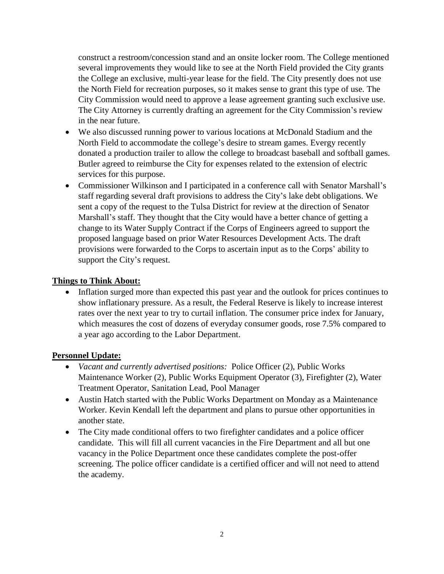construct a restroom/concession stand and an onsite locker room. The College mentioned several improvements they would like to see at the North Field provided the City grants the College an exclusive, multi-year lease for the field. The City presently does not use the North Field for recreation purposes, so it makes sense to grant this type of use. The City Commission would need to approve a lease agreement granting such exclusive use. The City Attorney is currently drafting an agreement for the City Commission's review in the near future.

- We also discussed running power to various locations at McDonald Stadium and the North Field to accommodate the college's desire to stream games. Evergy recently donated a production trailer to allow the college to broadcast baseball and softball games. Butler agreed to reimburse the City for expenses related to the extension of electric services for this purpose.
- Commissioner Wilkinson and I participated in a conference call with Senator Marshall's staff regarding several draft provisions to address the City's lake debt obligations. We sent a copy of the request to the Tulsa District for review at the direction of Senator Marshall's staff. They thought that the City would have a better chance of getting a change to its Water Supply Contract if the Corps of Engineers agreed to support the proposed language based on prior Water Resources Development Acts. The draft provisions were forwarded to the Corps to ascertain input as to the Corps' ability to support the City's request.

#### **Things to Think About:**

• Inflation surged more than expected this past year and the outlook for prices continues to show inflationary pressure. As a result, the Federal Reserve is likely to increase interest rates over the next year to try to curtail inflation. The consumer price index for January, which measures the cost of dozens of everyday consumer goods, rose 7.5% compared to a year ago according to the Labor Department.

#### **Personnel Update:**

- *Vacant and currently advertised positions:* Police Officer (2), Public Works Maintenance Worker (2), Public Works Equipment Operator (3), Firefighter (2), Water Treatment Operator, Sanitation Lead, Pool Manager
- Austin Hatch started with the Public Works Department on Monday as a Maintenance Worker. Kevin Kendall left the department and plans to pursue other opportunities in another state.
- The City made conditional offers to two firefighter candidates and a police officer candidate. This will fill all current vacancies in the Fire Department and all but one vacancy in the Police Department once these candidates complete the post-offer screening. The police officer candidate is a certified officer and will not need to attend the academy.